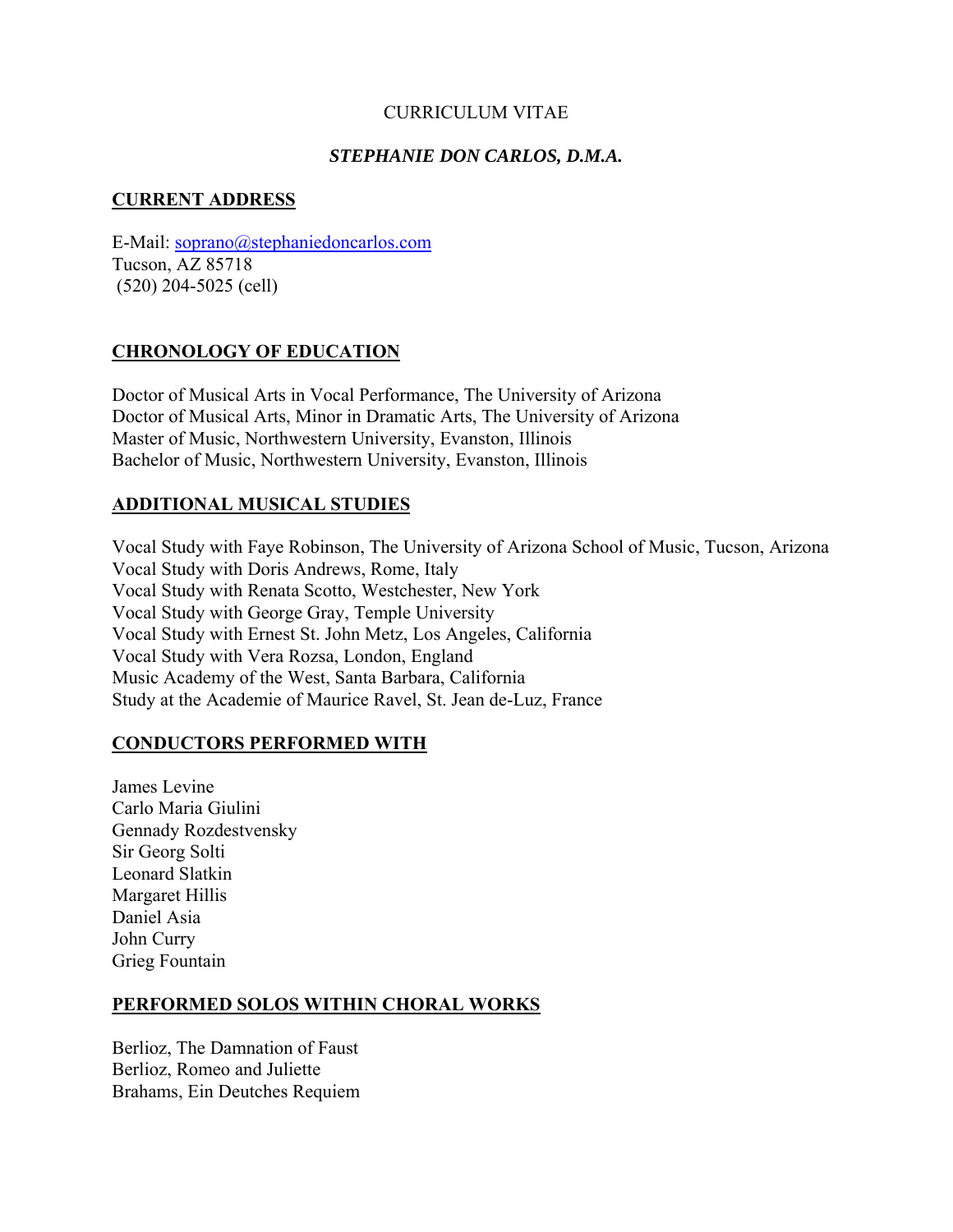# CURRICULUM VITAE

# *STEPHANIE DON CARLOS, D.M.A.*

# **CURRENT ADDRESS**

E-Mail: soprano@stephaniedoncarlos.com Tucson, AZ 85718 (520) 204-5025 (cell)

# **CHRONOLOGY OF EDUCATION**

Doctor of Musical Arts in Vocal Performance, The University of Arizona Doctor of Musical Arts, Minor in Dramatic Arts, The University of Arizona Master of Music, Northwestern University, Evanston, Illinois Bachelor of Music, Northwestern University, Evanston, Illinois

# **ADDITIONAL MUSICAL STUDIES**

Vocal Study with Faye Robinson, The University of Arizona School of Music, Tucson, Arizona Vocal Study with Doris Andrews, Rome, Italy Vocal Study with Renata Scotto, Westchester, New York Vocal Study with George Gray, Temple University Vocal Study with Ernest St. John Metz, Los Angeles, California Vocal Study with Vera Rozsa, London, England Music Academy of the West, Santa Barbara, California Study at the Academie of Maurice Ravel, St. Jean de-Luz, France

## **CONDUCTORS PERFORMED WITH**

James Levine Carlo Maria Giulini Gennady Rozdestvensky Sir Georg Solti Leonard Slatkin Margaret Hillis Daniel Asia John Curry Grieg Fountain

## **PERFORMED SOLOS WITHIN CHORAL WORKS**

Berlioz, The Damnation of Faust Berlioz, Romeo and Juliette Brahams, Ein Deutches Requiem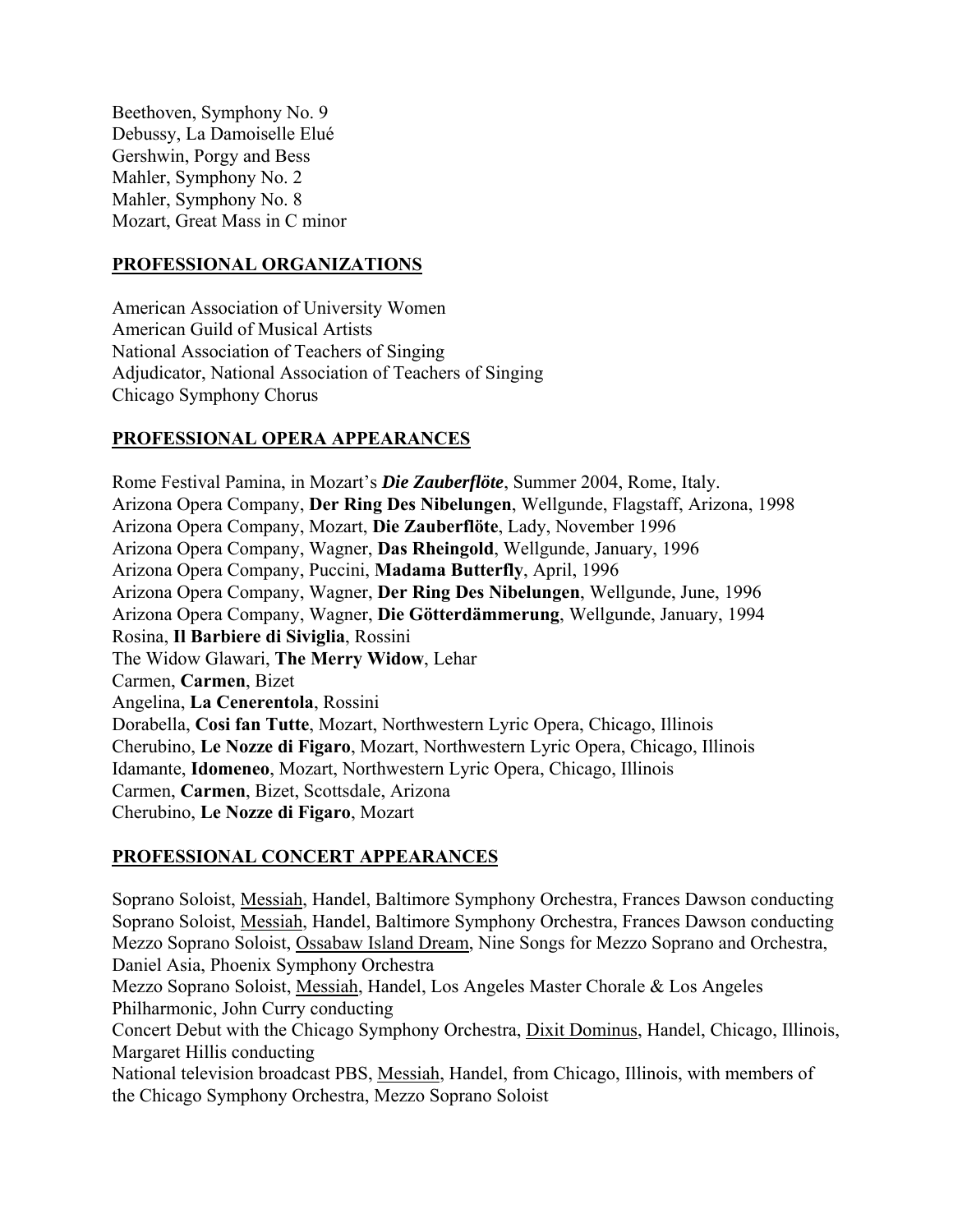Beethoven, Symphony No. 9 Debussy, La Damoiselle Elué Gershwin, Porgy and Bess Mahler, Symphony No. 2 Mahler, Symphony No. 8 Mozart, Great Mass in C minor

#### **PROFESSIONAL ORGANIZATIONS**

American Association of University Women American Guild of Musical Artists National Association of Teachers of Singing Adjudicator, National Association of Teachers of Singing Chicago Symphony Chorus

## **PROFESSIONAL OPERA APPEARANCES**

Rome Festival Pamina, in Mozart's *Die Zauberflöte*, Summer 2004, Rome, Italy. Arizona Opera Company, **Der Ring Des Nibelungen**, Wellgunde, Flagstaff, Arizona, 1998 Arizona Opera Company, Mozart, **Die Zauberflöte**, Lady, November 1996 Arizona Opera Company, Wagner, **Das Rheingold**, Wellgunde, January, 1996 Arizona Opera Company, Puccini, **Madama Butterfly**, April, 1996 Arizona Opera Company, Wagner, **Der Ring Des Nibelungen**, Wellgunde, June, 1996 Arizona Opera Company, Wagner, **Die Götterdämmerung**, Wellgunde, January, 1994 Rosina, **Il Barbiere di Siviglia**, Rossini The Widow Glawari, **The Merry Widow**, Lehar Carmen, **Carmen**, Bizet Angelina, **La Cenerentola**, Rossini Dorabella, **Cosi fan Tutte**, Mozart, Northwestern Lyric Opera, Chicago, Illinois Cherubino, **Le Nozze di Figaro**, Mozart, Northwestern Lyric Opera, Chicago, Illinois Idamante, **Idomeneo**, Mozart, Northwestern Lyric Opera, Chicago, Illinois Carmen, **Carmen**, Bizet, Scottsdale, Arizona Cherubino, **Le Nozze di Figaro**, Mozart

## **PROFESSIONAL CONCERT APPEARANCES**

Soprano Soloist, Messiah, Handel, Baltimore Symphony Orchestra, Frances Dawson conducting Soprano Soloist, Messiah, Handel, Baltimore Symphony Orchestra, Frances Dawson conducting Mezzo Soprano Soloist, Ossabaw Island Dream, Nine Songs for Mezzo Soprano and Orchestra, Daniel Asia, Phoenix Symphony Orchestra

Mezzo Soprano Soloist, Messiah, Handel, Los Angeles Master Chorale & Los Angeles Philharmonic, John Curry conducting

Concert Debut with the Chicago Symphony Orchestra, Dixit Dominus, Handel, Chicago, Illinois, Margaret Hillis conducting

National television broadcast PBS, Messiah, Handel, from Chicago, Illinois, with members of the Chicago Symphony Orchestra, Mezzo Soprano Soloist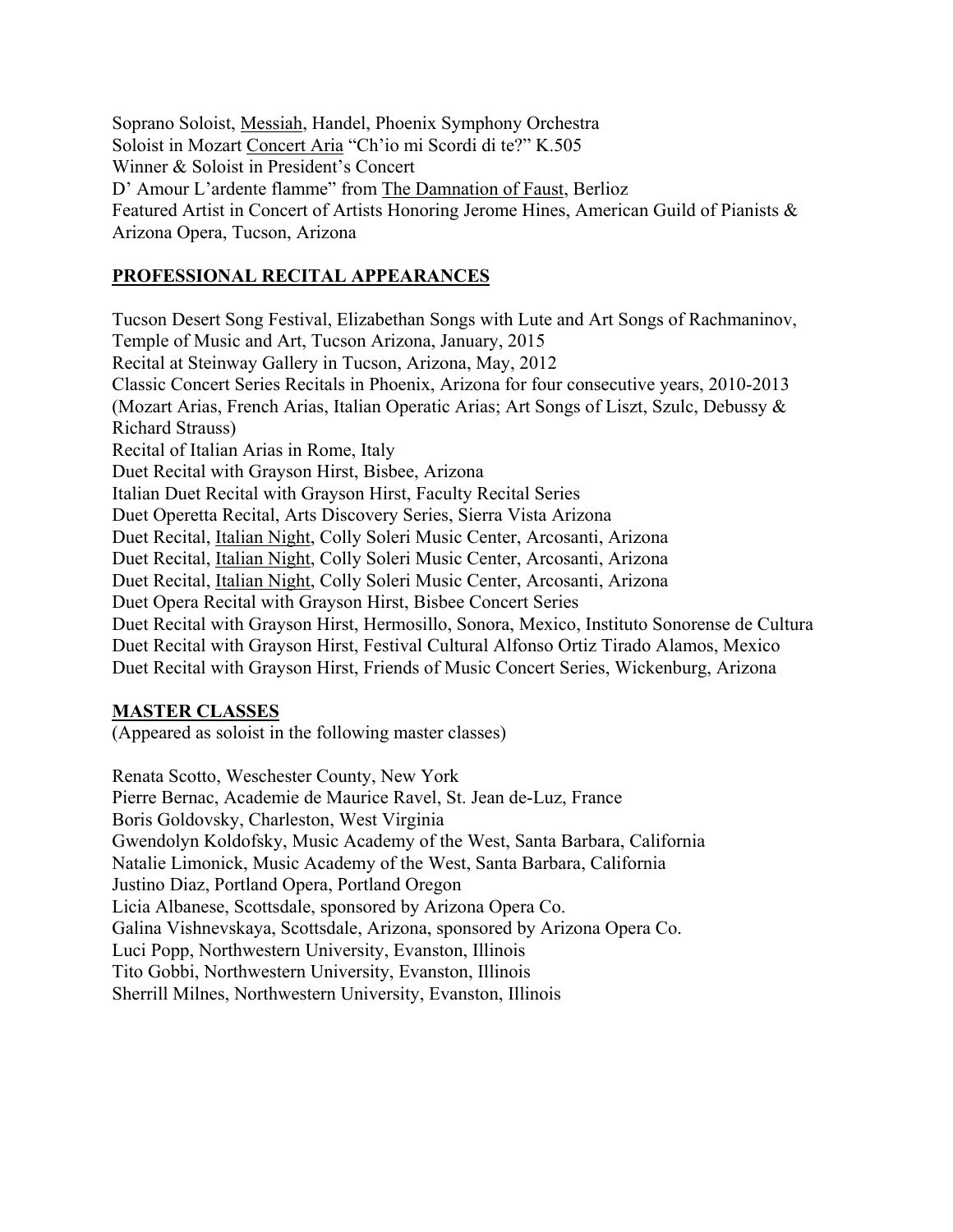Soprano Soloist, Messiah, Handel, Phoenix Symphony Orchestra Soloist in Mozart Concert Aria "Ch'io mi Scordi di te?" K.505 Winner & Soloist in President's Concert D' Amour L'ardente flamme" from The Damnation of Faust, Berlioz Featured Artist in Concert of Artists Honoring Jerome Hines, American Guild of Pianists & Arizona Opera, Tucson, Arizona

#### **PROFESSIONAL RECITAL APPEARANCES**

Tucson Desert Song Festival, Elizabethan Songs with Lute and Art Songs of Rachmaninov, Temple of Music and Art, Tucson Arizona, January, 2015 Recital at Steinway Gallery in Tucson, Arizona, May, 2012 Classic Concert Series Recitals in Phoenix, Arizona for four consecutive years, 2010-2013 (Mozart Arias, French Arias, Italian Operatic Arias; Art Songs of Liszt, Szulc, Debussy & Richard Strauss) Recital of Italian Arias in Rome, Italy Duet Recital with Grayson Hirst, Bisbee, Arizona Italian Duet Recital with Grayson Hirst, Faculty Recital Series Duet Operetta Recital, Arts Discovery Series, Sierra Vista Arizona Duet Recital, Italian Night, Colly Soleri Music Center, Arcosanti, Arizona Duet Recital, Italian Night, Colly Soleri Music Center, Arcosanti, Arizona Duet Recital, Italian Night, Colly Soleri Music Center, Arcosanti, Arizona Duet Opera Recital with Grayson Hirst, Bisbee Concert Series Duet Recital with Grayson Hirst, Hermosillo, Sonora, Mexico, Instituto Sonorense de Cultura Duet Recital with Grayson Hirst, Festival Cultural Alfonso Ortiz Tirado Alamos, Mexico Duet Recital with Grayson Hirst, Friends of Music Concert Series, Wickenburg, Arizona

#### **MASTER CLASSES**

(Appeared as soloist in the following master classes)

Renata Scotto, Weschester County, New York Pierre Bernac, Academie de Maurice Ravel, St. Jean de-Luz, France Boris Goldovsky, Charleston, West Virginia Gwendolyn Koldofsky, Music Academy of the West, Santa Barbara, California Natalie Limonick, Music Academy of the West, Santa Barbara, California Justino Diaz, Portland Opera, Portland Oregon Licia Albanese, Scottsdale, sponsored by Arizona Opera Co. Galina Vishnevskaya, Scottsdale, Arizona, sponsored by Arizona Opera Co. Luci Popp, Northwestern University, Evanston, Illinois Tito Gobbi, Northwestern University, Evanston, Illinois Sherrill Milnes, Northwestern University, Evanston, Illinois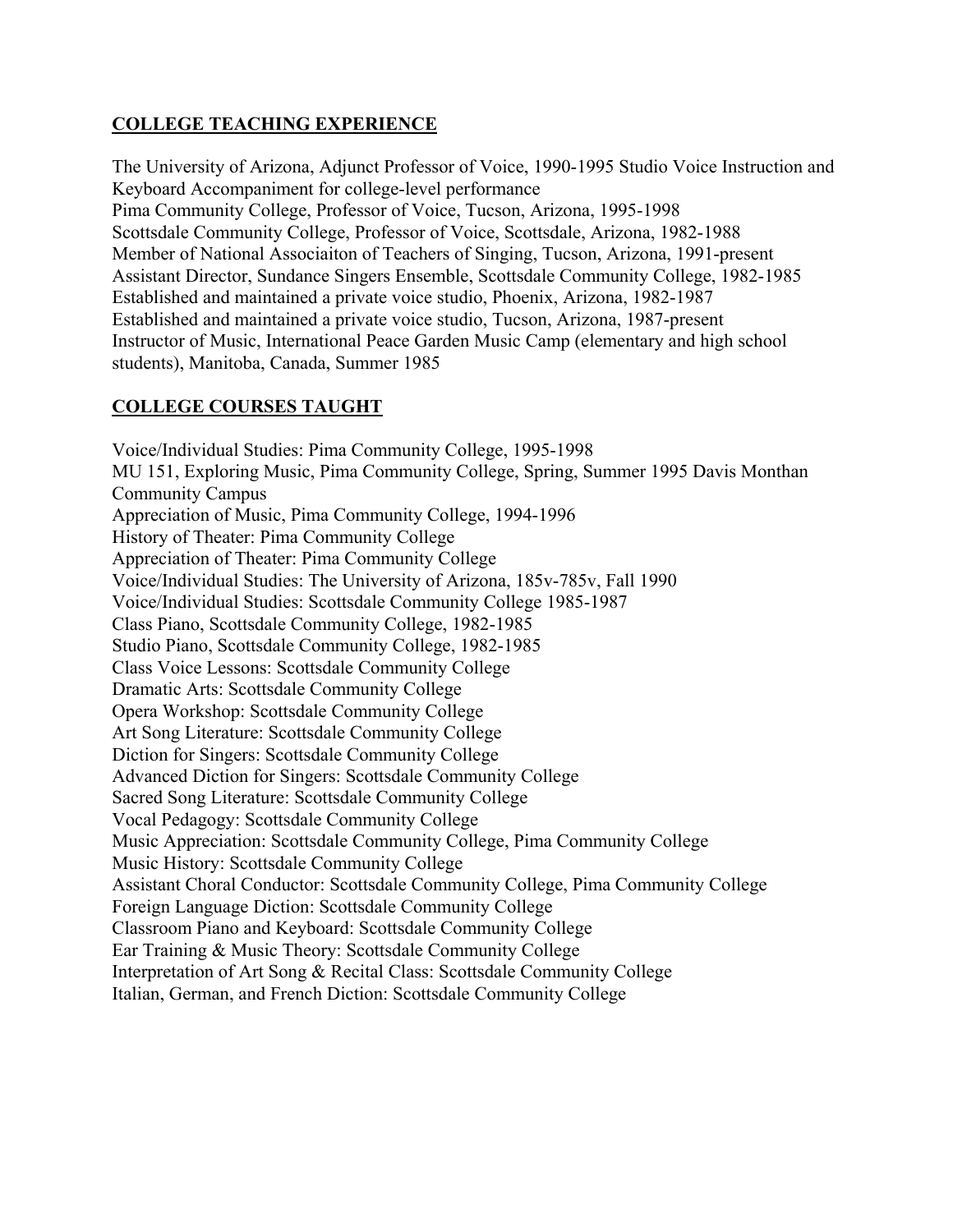# **COLLEGE TEACHING EXPERIENCE**

The University of Arizona, Adjunct Professor of Voice, 1990-1995 Studio Voice Instruction and Keyboard Accompaniment for college-level performance Pima Community College, Professor of Voice, Tucson, Arizona, 1995-1998 Scottsdale Community College, Professor of Voice, Scottsdale, Arizona, 1982-1988 Member of National Associaiton of Teachers of Singing, Tucson, Arizona, 1991-present Assistant Director, Sundance Singers Ensemble, Scottsdale Community College, 1982-1985 Established and maintained a private voice studio, Phoenix, Arizona, 1982-1987 Established and maintained a private voice studio, Tucson, Arizona, 1987-present Instructor of Music, International Peace Garden Music Camp (elementary and high school students), Manitoba, Canada, Summer 1985

# **COLLEGE COURSES TAUGHT**

Voice/Individual Studies: Pima Community College, 1995-1998 MU 151, Exploring Music, Pima Community College, Spring, Summer 1995 Davis Monthan Community Campus Appreciation of Music, Pima Community College, 1994-1996 History of Theater: Pima Community College Appreciation of Theater: Pima Community College Voice/Individual Studies: The University of Arizona, 185v-785v, Fall 1990 Voice/Individual Studies: Scottsdale Community College 1985-1987 Class Piano, Scottsdale Community College, 1982-1985 Studio Piano, Scottsdale Community College, 1982-1985 Class Voice Lessons: Scottsdale Community College Dramatic Arts: Scottsdale Community College Opera Workshop: Scottsdale Community College Art Song Literature: Scottsdale Community College Diction for Singers: Scottsdale Community College Advanced Diction for Singers: Scottsdale Community College Sacred Song Literature: Scottsdale Community College Vocal Pedagogy: Scottsdale Community College Music Appreciation: Scottsdale Community College, Pima Community College Music History: Scottsdale Community College Assistant Choral Conductor: Scottsdale Community College, Pima Community College Foreign Language Diction: Scottsdale Community College Classroom Piano and Keyboard: Scottsdale Community College Ear Training & Music Theory: Scottsdale Community College Interpretation of Art Song & Recital Class: Scottsdale Community College Italian, German, and French Diction: Scottsdale Community College